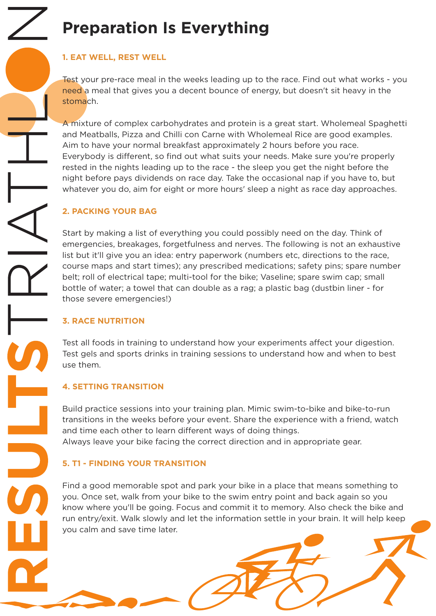# **Preparation Is Everything**

### **1. EAT WELL, REST WELL**

Test your pre-race meal in the weeks leading up to the race. Find out what works - you need a meal that gives you a decent bounce of energy, but doesn't sit heavy in the stomach.

A mixture of complex carbohydrates and protein is a great start. Wholemeal Spaghetti and Meatballs, Pizza and Chilli con Carne with Wholemeal Rice are good examples. Aim to have your normal breakfast approximately 2 hours before you race. Everybody is different, so find out what suits your needs. Make sure you're properly rested in the nights leading up to the race - the sleep you get the night before the night before pays dividends on race day. Take the occasional nap if you have to, but whatever you do, aim for eight or more hours' sleep a night as race day approaches.

## **2. PACKING YOUR BAG**

Start by making a list of everything you could possibly need on the day. Think of emergencies, breakages, forgetfulness and nerves. The following is not an exhaustive list but it'll give you an idea: entry paperwork (numbers etc, directions to the race, course maps and start times); any prescribed medications; safety pins; spare number belt; roll of electrical tape; multi-tool for the bike; Vaseline; spare swim cap; small bottle of water; a towel that can double as a rag; a plastic bag (dustbin liner - for those severe emergencies!)

#### **3. RACE NUTRITION**

Test all foods in training to understand how your experiments affect your digestion. Test gels and sports drinks in training sessions to understand how and when to best use them.

#### **4. SETTING TRANSITION**

Build practice sessions into your training plan. Mimic swim-to-bike and bike-to-run transitions in the weeks before your event. Share the experience with a friend, watch and time each other to learn different ways of doing things. Always leave your bike facing the correct direction and in appropriate gear.

## **5. T1 - FINDING YOUR TRANSITION**

Find a good memorable spot and park your bike in a place that means something to you. Once set, walk from your bike to the swim entry point and back again so you know where you'll be going. Focus and commit it to memory. Also check the bike and run entry/exit. Walk slowly and let the information settle in your brain. It will help keep you calm and save time later.